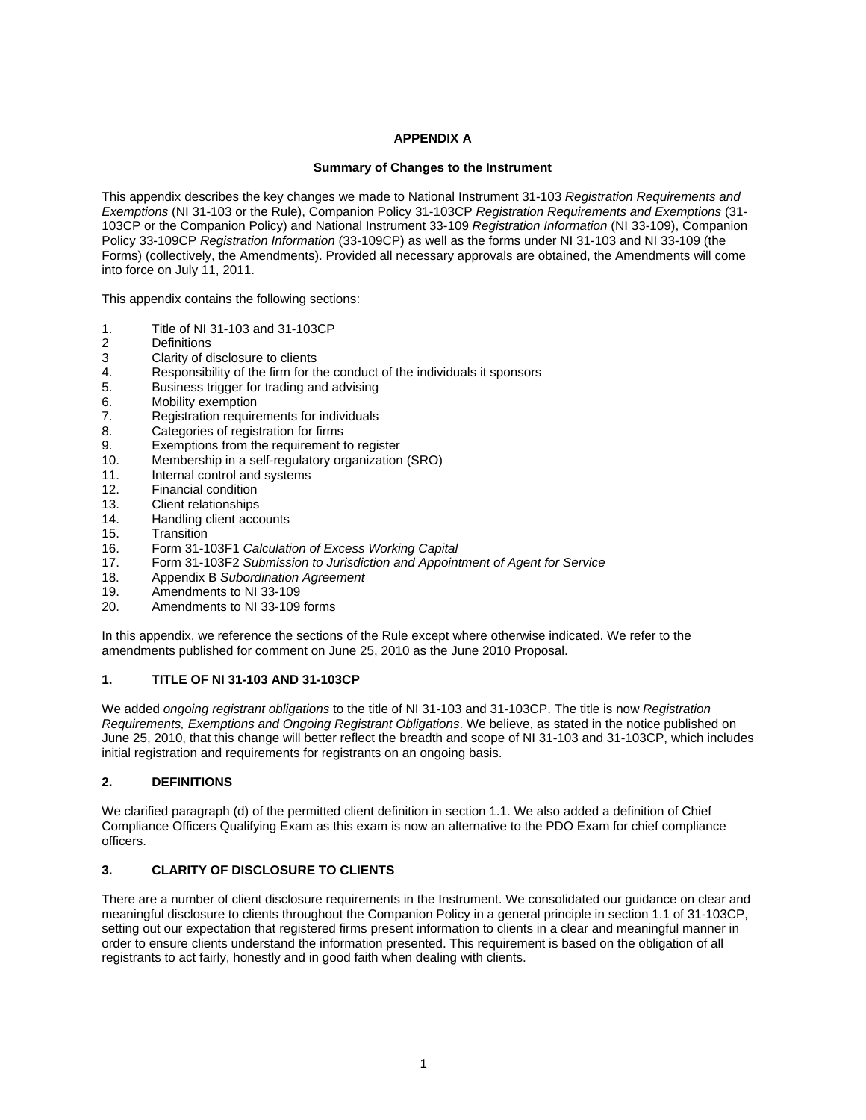### **APPENDIX A**

### **Summary of Changes to the Instrument**

This appendix describes the key changes we made to National Instrument 31-103 *Registration Requirements and Exemptions* (NI 31-103 or the Rule), Companion Policy 31-103CP *Registration Requirements and Exemptions* (31- 103CP or the Companion Policy) and National Instrument 33-109 *Registration Information* (NI 33-109), Companion Policy 33-109CP *Registration Information* (33-109CP) as well as the forms under NI 31-103 and NI 33-109 (the Forms) (collectively, the Amendments). Provided all necessary approvals are obtained, the Amendments will come into force on July 11, 2011.

This appendix contains the following sections:

- 1. Title of NI 31-103 and 31-103CP
- 2 Definitions
- 3 Clarity of disclosure to clients
- 4. Responsibility of the firm for the conduct of the individuals it sponsors
- 5. Business trigger for trading and advising
- 6. Mobility exemption
- 7. Registration requirements for individuals
- 8. Categories of registration for firms
- 9. Exemptions from the requirement to register
- 10. Membership in a self-regulatory organization (SRO)
- 11. Internal control and systems
- 12. Financial condition
- 13. Client relationships
- 14. Handling client accounts
- 15. Transition
- 16. Form 31-103F1 *Calculation of Excess Working Capital*
- 17. Form 31-103F2 *Submission to Jurisdiction and Appointment of Agent for Service*
- 18. Appendix B *Subordination Agreement*
- 19. Amendments to NI 33-109<br>20 Amendments to NI 33-109
- Amendments to NI 33-109 forms

In this appendix, we reference the sections of the Rule except where otherwise indicated. We refer to the amendments published for comment on June 25, 2010 as the June 2010 Proposal.

#### **1. TITLE OF NI 31-103 AND 31-103CP**

We added *ongoing registrant obligations* to the title of NI 31-103 and 31-103CP. The title is now *Registration Requirements, Exemptions and Ongoing Registrant Obligations*. We believe, as stated in the notice published on June 25, 2010, that this change will better reflect the breadth and scope of NI 31-103 and 31-103CP, which includes initial registration and requirements for registrants on an ongoing basis.

# **2. DEFINITIONS**

We clarified paragraph (d) of the permitted client definition in section 1.1. We also added a definition of Chief Compliance Officers Qualifying Exam as this exam is now an alternative to the PDO Exam for chief compliance officers.

# **3. CLARITY OF DISCLOSURE TO CLIENTS**

There are a number of client disclosure requirements in the Instrument. We consolidated our guidance on clear and meaningful disclosure to clients throughout the Companion Policy in a general principle in section 1.1 of 31-103CP, setting out our expectation that registered firms present information to clients in a clear and meaningful manner in order to ensure clients understand the information presented. This requirement is based on the obligation of all registrants to act fairly, honestly and in good faith when dealing with clients.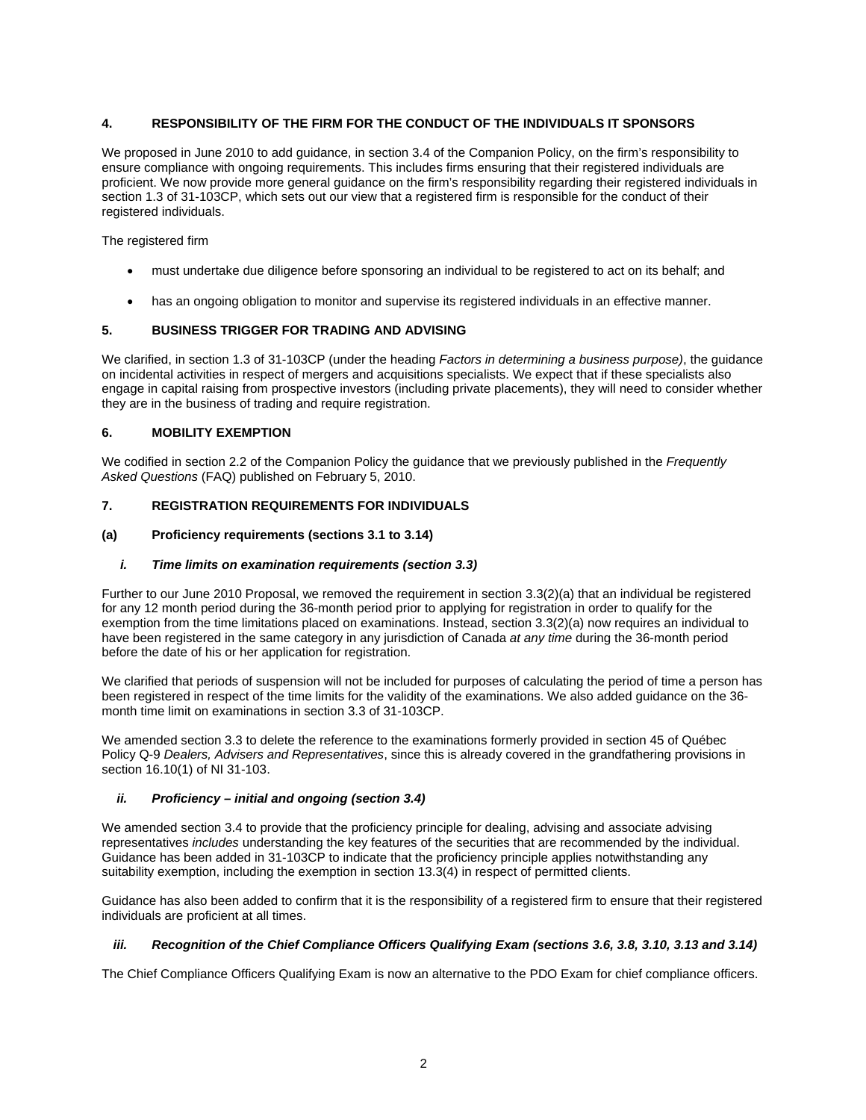## **4. RESPONSIBILITY OF THE FIRM FOR THE CONDUCT OF THE INDIVIDUALS IT SPONSORS**

We proposed in June 2010 to add guidance, in section 3.4 of the Companion Policy, on the firm's responsibility to ensure compliance with ongoing requirements. This includes firms ensuring that their registered individuals are proficient. We now provide more general guidance on the firm's responsibility regarding their registered individuals in section 1.3 of 31-103CP, which sets out our view that a registered firm is responsible for the conduct of their registered individuals.

The registered firm

- must undertake due diligence before sponsoring an individual to be registered to act on its behalf; and
- has an ongoing obligation to monitor and supervise its registered individuals in an effective manner.

## **5. BUSINESS TRIGGER FOR TRADING AND ADVISING**

We clarified, in section 1.3 of 31-103CP (under the heading *Factors in determining a business purpose)*, the guidance on incidental activities in respect of mergers and acquisitions specialists. We expect that if these specialists also engage in capital raising from prospective investors (including private placements), they will need to consider whether they are in the business of trading and require registration.

## **6. MOBILITY EXEMPTION**

We codified in section 2.2 of the Companion Policy the guidance that we previously published in the *Frequently Asked Questions* (FAQ) published on February 5, 2010.

## **7. REGISTRATION REQUIREMENTS FOR INDIVIDUALS**

#### **(a) Proficiency requirements (sections 3.1 to 3.14)**

### *i. Time limits on examination requirements (section 3.3)*

Further to our June 2010 Proposal, we removed the requirement in section 3.3(2)(a) that an individual be registered for any 12 month period during the 36-month period prior to applying for registration in order to qualify for the exemption from the time limitations placed on examinations. Instead, section 3.3(2)(a) now requires an individual to have been registered in the same category in any jurisdiction of Canada *at any time* during the 36-month period before the date of his or her application for registration.

We clarified that periods of suspension will not be included for purposes of calculating the period of time a person has been registered in respect of the time limits for the validity of the examinations. We also added guidance on the 36 month time limit on examinations in section 3.3 of 31-103CP.

We amended section 3.3 to delete the reference to the examinations formerly provided in section 45 of Québec Policy Q-9 *Dealers, Advisers and Representatives*, since this is already covered in the grandfathering provisions in section 16.10(1) of NI 31-103.

#### *ii. Proficiency – initial and ongoing (section 3.4)*

We amended section 3.4 to provide that the proficiency principle for dealing, advising and associate advising representatives *includes* understanding the key features of the securities that are recommended by the individual. Guidance has been added in 31-103CP to indicate that the proficiency principle applies notwithstanding any suitability exemption, including the exemption in section 13.3(4) in respect of permitted clients.

Guidance has also been added to confirm that it is the responsibility of a registered firm to ensure that their registered individuals are proficient at all times.

#### *iii.* Recognition of the Chief Compliance Officers Qualifying Exam (sections 3.6, 3.8, 3.10, 3.13 and 3.14)

The Chief Compliance Officers Qualifying Exam is now an alternative to the PDO Exam for chief compliance officers.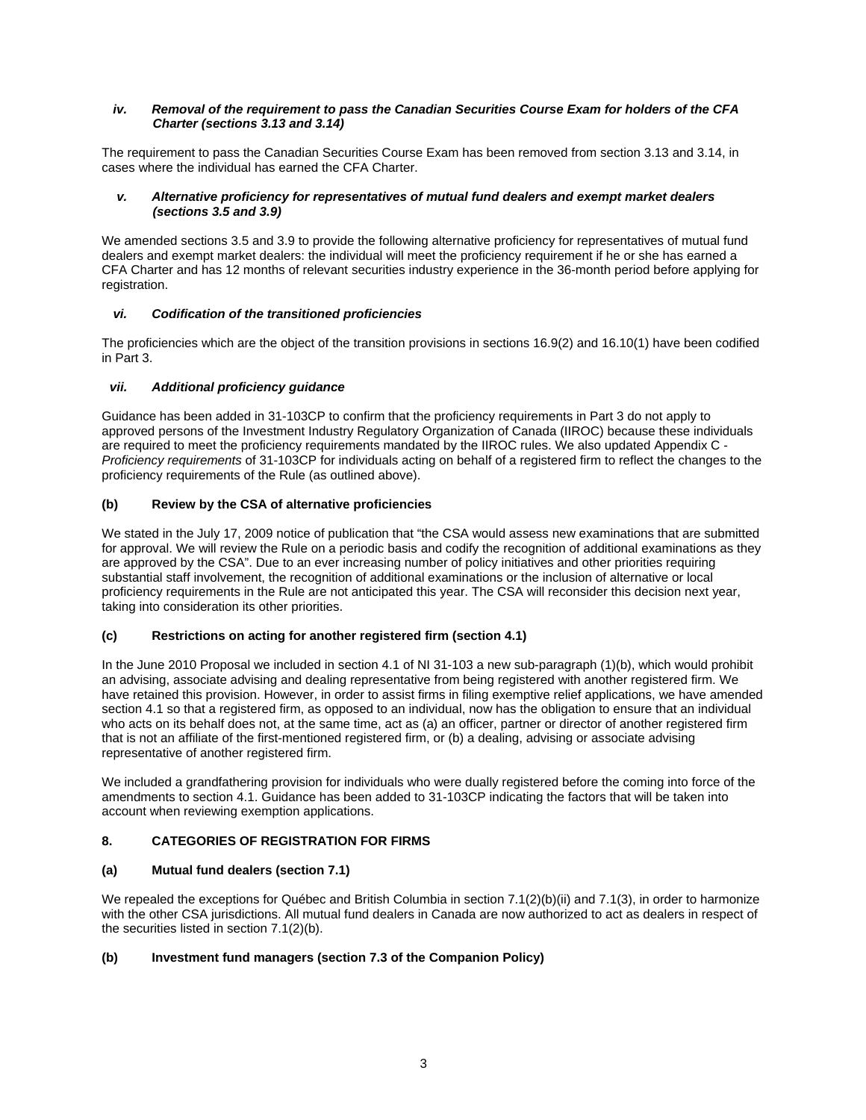### *iv. Removal of the requirement to pass the Canadian Securities Course Exam for holders of the CFA Charter (sections 3.13 and 3.14)*

The requirement to pass the Canadian Securities Course Exam has been removed from section 3.13 and 3.14, in cases where the individual has earned the CFA Charter.

### *v. Alternative proficiency for representatives of mutual fund dealers and exempt market dealers (sections 3.5 and 3.9)*

We amended sections 3.5 and 3.9 to provide the following alternative proficiency for representatives of mutual fund dealers and exempt market dealers: the individual will meet the proficiency requirement if he or she has earned a CFA Charter and has 12 months of relevant securities industry experience in the 36-month period before applying for registration.

## *vi. Codification of the transitioned proficiencies*

The proficiencies which are the object of the transition provisions in sections 16.9(2) and 16.10(1) have been codified in Part 3.

## *vii. Additional proficiency guidance*

Guidance has been added in 31-103CP to confirm that the proficiency requirements in Part 3 do not apply to approved persons of the Investment Industry Regulatory Organization of Canada (IIROC) because these individuals are required to meet the proficiency requirements mandated by the IIROC rules. We also updated Appendix C - *Proficiency requirements* of 31-103CP for individuals acting on behalf of a registered firm to reflect the changes to the proficiency requirements of the Rule (as outlined above).

## **(b) Review by the CSA of alternative proficiencies**

We stated in the July 17, 2009 notice of publication that "the CSA would assess new examinations that are submitted for approval. We will review the Rule on a periodic basis and codify the recognition of additional examinations as they are approved by the CSA". Due to an ever increasing number of policy initiatives and other priorities requiring substantial staff involvement, the recognition of additional examinations or the inclusion of alternative or local proficiency requirements in the Rule are not anticipated this year. The CSA will reconsider this decision next year, taking into consideration its other priorities.

# **(c) Restrictions on acting for another registered firm (section 4.1)**

In the June 2010 Proposal we included in section 4.1 of NI 31-103 a new sub-paragraph (1)(b), which would prohibit an advising, associate advising and dealing representative from being registered with another registered firm. We have retained this provision. However, in order to assist firms in filing exemptive relief applications, we have amended section 4.1 so that a registered firm, as opposed to an individual, now has the obligation to ensure that an individual who acts on its behalf does not, at the same time, act as (a) an officer, partner or director of another registered firm that is not an affiliate of the first-mentioned registered firm, or (b) a dealing, advising or associate advising representative of another registered firm.

We included a grandfathering provision for individuals who were dually registered before the coming into force of the amendments to section 4.1. Guidance has been added to 31-103CP indicating the factors that will be taken into account when reviewing exemption applications.

# **8. CATEGORIES OF REGISTRATION FOR FIRMS**

# **(a) Mutual fund dealers (section 7.1)**

We repealed the exceptions for Québec and British Columbia in section 7.1(2)(b)(ii) and 7.1(3), in order to harmonize with the other CSA jurisdictions. All mutual fund dealers in Canada are now authorized to act as dealers in respect of the securities listed in section 7.1(2)(b).

#### **(b) Investment fund managers (section 7.3 of the Companion Policy)**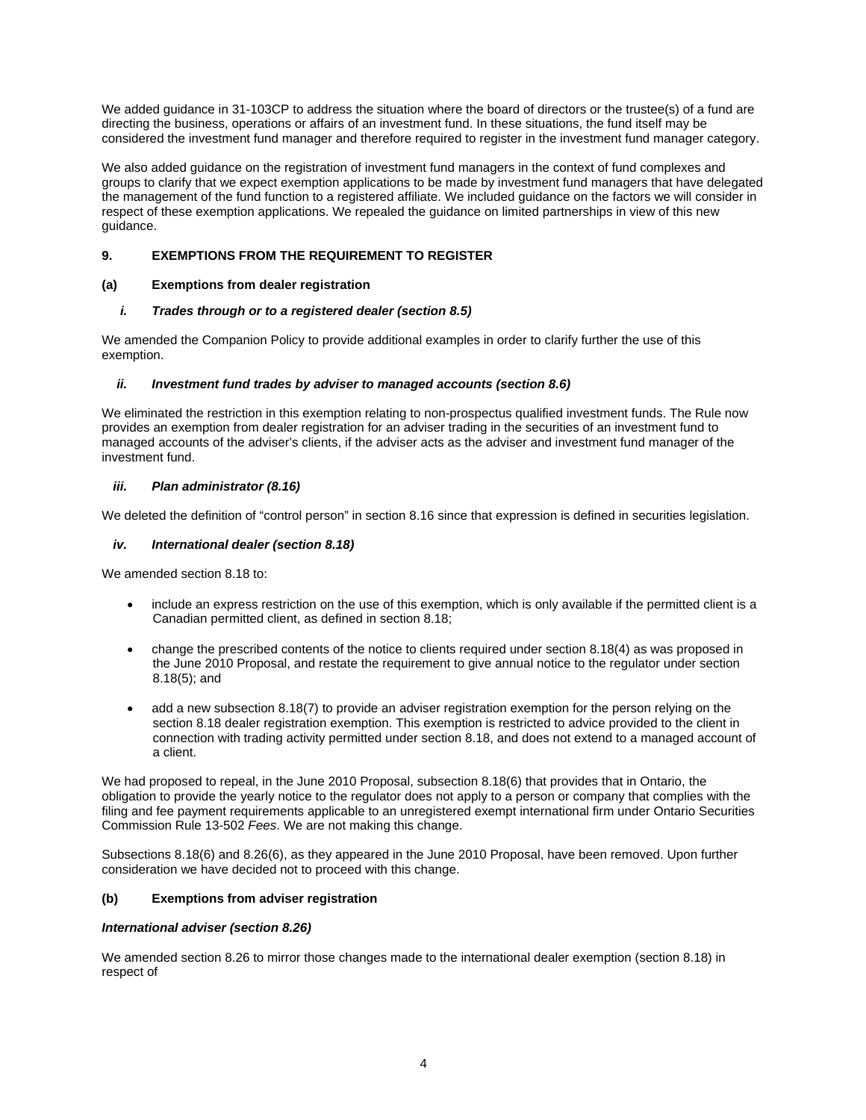We added guidance in 31-103CP to address the situation where the board of directors or the trustee(s) of a fund are directing the business, operations or affairs of an investment fund. In these situations, the fund itself may be considered the investment fund manager and therefore required to register in the investment fund manager category.

We also added guidance on the registration of investment fund managers in the context of fund complexes and groups to clarify that we expect exemption applications to be made by investment fund managers that have delegated the management of the fund function to a registered affiliate. We included guidance on the factors we will consider in respect of these exemption applications. We repealed the guidance on limited partnerships in view of this new guidance.

# **9. EXEMPTIONS FROM THE REQUIREMENT TO REGISTER**

# **(a) Exemptions from dealer registration**

# *i. Trades through or to a registered dealer (section 8.5)*

We amended the Companion Policy to provide additional examples in order to clarify further the use of this exemption.

# *ii. Investment fund trades by adviser to managed accounts (section 8.6)*

We eliminated the restriction in this exemption relating to non-prospectus qualified investment funds. The Rule now provides an exemption from dealer registration for an adviser trading in the securities of an investment fund to managed accounts of the adviser's clients, if the adviser acts as the adviser and investment fund manager of the investment fund.

# *iii. Plan administrator (8.16)*

We deleted the definition of "control person" in section 8.16 since that expression is defined in securities legislation.

# *iv. International dealer (section 8.18)*

We amended section 8.18 to:

- include an express restriction on the use of this exemption, which is only available if the permitted client is a Canadian permitted client, as defined in section 8.18;
- change the prescribed contents of the notice to clients required under section 8.18(4) as was proposed in the June 2010 Proposal, and restate the requirement to give annual notice to the regulator under section 8.18(5); and
- add a new subsection 8.18(7) to provide an adviser registration exemption for the person relying on the section 8.18 dealer registration exemption. This exemption is restricted to advice provided to the client in connection with trading activity permitted under section 8.18, and does not extend to a managed account of a client.

We had proposed to repeal, in the June 2010 Proposal, subsection 8.18(6) that provides that in Ontario, the obligation to provide the yearly notice to the regulator does not apply to a person or company that complies with the filing and fee payment requirements applicable to an unregistered exempt international firm under Ontario Securities Commission Rule 13-502 *Fees*. We are not making this change.

Subsections 8.18(6) and 8.26(6), as they appeared in the June 2010 Proposal, have been removed. Upon further consideration we have decided not to proceed with this change.

# **(b) Exemptions from adviser registration**

# *International adviser (section 8.26)*

We amended section 8.26 to mirror those changes made to the international dealer exemption (section 8.18) in respect of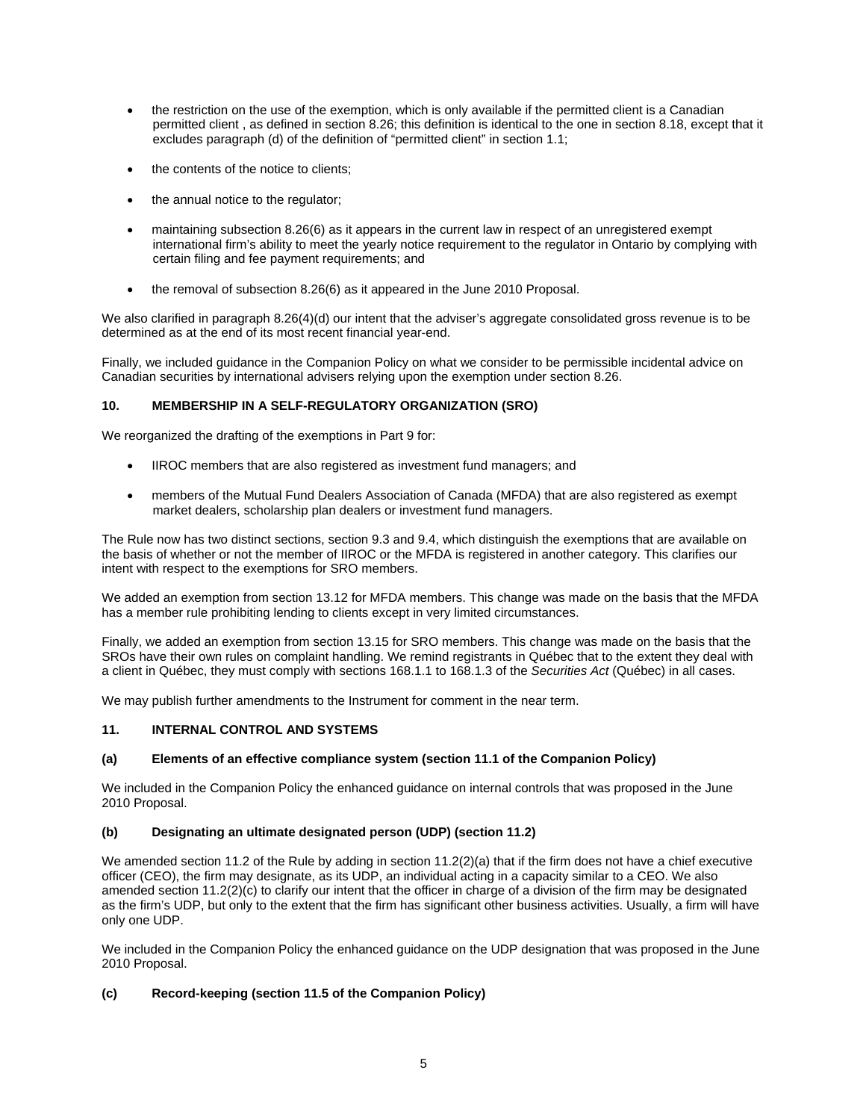- the restriction on the use of the exemption, which is only available if the permitted client is a Canadian permitted client , as defined in section 8.26; this definition is identical to the one in section 8.18, except that it excludes paragraph (d) of the definition of "permitted client" in section 1.1;
- the contents of the notice to clients;
- the annual notice to the regulator;
- maintaining subsection 8.26(6) as it appears in the current law in respect of an unregistered exempt international firm's ability to meet the yearly notice requirement to the regulator in Ontario by complying with certain filing and fee payment requirements; and
- the removal of subsection 8.26(6) as it appeared in the June 2010 Proposal.

We also clarified in paragraph 8.26(4)(d) our intent that the adviser's aggregate consolidated gross revenue is to be determined as at the end of its most recent financial year-end.

Finally, we included guidance in the Companion Policy on what we consider to be permissible incidental advice on Canadian securities by international advisers relying upon the exemption under section 8.26.

## **10. MEMBERSHIP IN A SELF-REGULATORY ORGANIZATION (SRO)**

We reorganized the drafting of the exemptions in Part 9 for:

- IIROC members that are also registered as investment fund managers; and
- members of the Mutual Fund Dealers Association of Canada (MFDA) that are also registered as exempt market dealers, scholarship plan dealers or investment fund managers.

The Rule now has two distinct sections, section 9.3 and 9.4, which distinguish the exemptions that are available on the basis of whether or not the member of IIROC or the MFDA is registered in another category. This clarifies our intent with respect to the exemptions for SRO members.

We added an exemption from section 13.12 for MFDA members. This change was made on the basis that the MFDA has a member rule prohibiting lending to clients except in very limited circumstances.

Finally, we added an exemption from section 13.15 for SRO members. This change was made on the basis that the SROs have their own rules on complaint handling. We remind registrants in Québec that to the extent they deal with a client in Québec, they must comply with sections 168.1.1 to 168.1.3 of the *Securities Act* (Québec) in all cases.

We may publish further amendments to the Instrument for comment in the near term.

#### **11. INTERNAL CONTROL AND SYSTEMS**

# **(a) Elements of an effective compliance system (section 11.1 of the Companion Policy)**

We included in the Companion Policy the enhanced guidance on internal controls that was proposed in the June 2010 Proposal.

#### **(b) Designating an ultimate designated person (UDP) (section 11.2)**

We amended section 11.2 of the Rule by adding in section 11.2(2)(a) that if the firm does not have a chief executive officer (CEO), the firm may designate, as its UDP, an individual acting in a capacity similar to a CEO. We also amended section 11.2(2)(c) to clarify our intent that the officer in charge of a division of the firm may be designated as the firm's UDP, but only to the extent that the firm has significant other business activities. Usually, a firm will have only one UDP.

We included in the Companion Policy the enhanced guidance on the UDP designation that was proposed in the June 2010 Proposal.

# **(c) Record-keeping (section 11.5 of the Companion Policy)**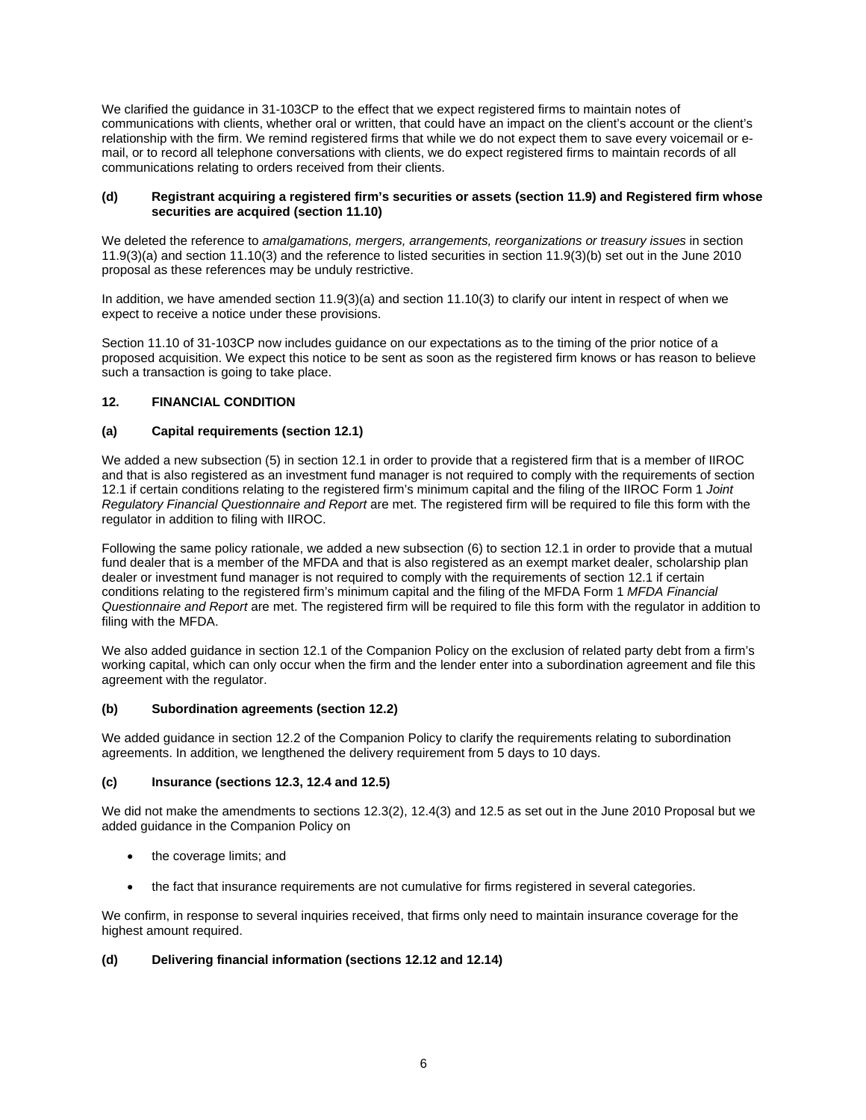We clarified the guidance in 31-103CP to the effect that we expect registered firms to maintain notes of communications with clients, whether oral or written, that could have an impact on the client's account or the client's relationship with the firm. We remind registered firms that while we do not expect them to save every voicemail or email, or to record all telephone conversations with clients, we do expect registered firms to maintain records of all communications relating to orders received from their clients.

#### **(d) Registrant acquiring a registered firm's securities or assets (section 11.9) and Registered firm whose securities are acquired (section 11.10)**

We deleted the reference to *amalgamations, mergers, arrangements, reorganizations or treasury issues* in section 11.9(3)(a) and section 11.10(3) and the reference to listed securities in section 11.9(3)(b) set out in the June 2010 proposal as these references may be unduly restrictive.

In addition, we have amended section 11.9(3)(a) and section 11.10(3) to clarify our intent in respect of when we expect to receive a notice under these provisions.

Section 11.10 of 31-103CP now includes guidance on our expectations as to the timing of the prior notice of a proposed acquisition. We expect this notice to be sent as soon as the registered firm knows or has reason to believe such a transaction is going to take place.

## **12. FINANCIAL CONDITION**

## **(a) Capital requirements (section 12.1)**

We added a new subsection (5) in section 12.1 in order to provide that a registered firm that is a member of IIROC and that is also registered as an investment fund manager is not required to comply with the requirements of section 12.1 if certain conditions relating to the registered firm's minimum capital and the filing of the IIROC Form 1 *Joint Regulatory Financial Questionnaire and Report* are met. The registered firm will be required to file this form with the regulator in addition to filing with IIROC.

Following the same policy rationale, we added a new subsection (6) to section 12.1 in order to provide that a mutual fund dealer that is a member of the MFDA and that is also registered as an exempt market dealer, scholarship plan dealer or investment fund manager is not required to comply with the requirements of section 12.1 if certain conditions relating to the registered firm's minimum capital and the filing of the MFDA Form 1 *MFDA Financial Questionnaire and Report* are met. The registered firm will be required to file this form with the regulator in addition to filing with the MFDA.

We also added guidance in section 12.1 of the Companion Policy on the exclusion of related party debt from a firm's working capital, which can only occur when the firm and the lender enter into a subordination agreement and file this agreement with the regulator.

#### **(b) Subordination agreements (section 12.2)**

We added guidance in section 12.2 of the Companion Policy to clarify the requirements relating to subordination agreements. In addition, we lengthened the delivery requirement from 5 days to 10 days.

#### **(c) Insurance (sections 12.3, 12.4 and 12.5)**

We did not make the amendments to sections 12.3(2), 12.4(3) and 12.5 as set out in the June 2010 Proposal but we added guidance in the Companion Policy on

- the coverage limits; and
- the fact that insurance requirements are not cumulative for firms registered in several categories.

We confirm, in response to several inquiries received, that firms only need to maintain insurance coverage for the highest amount required.

#### **(d) Delivering financial information (sections 12.12 and 12.14)**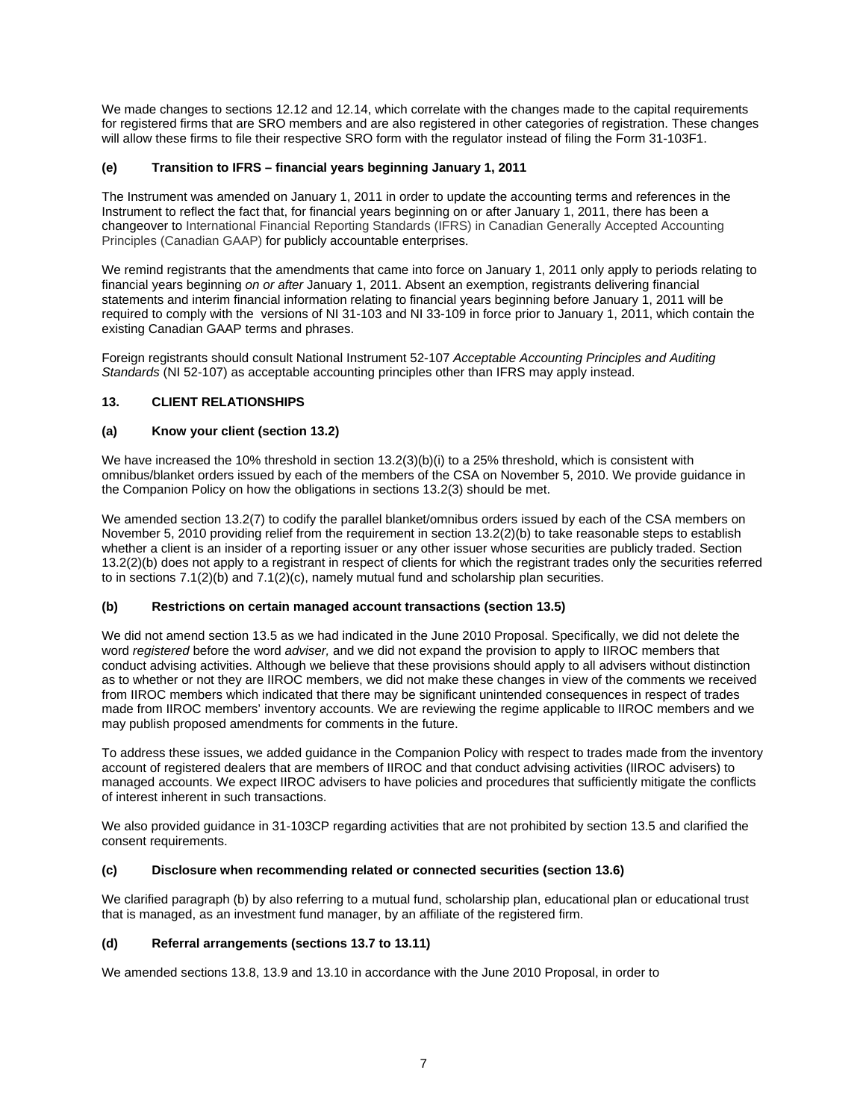We made changes to sections 12.12 and 12.14, which correlate with the changes made to the capital requirements for registered firms that are SRO members and are also registered in other categories of registration. These changes will allow these firms to file their respective SRO form with the regulator instead of filing the Form 31-103F1.

# **(e) Transition to IFRS – financial years beginning January 1, 2011**

The Instrument was amended on January 1, 2011 in order to update the accounting terms and references in the Instrument to reflect the fact that, for financial years beginning on or after January 1, 2011, there has been a changeover to International Financial Reporting Standards (IFRS) in Canadian Generally Accepted Accounting Principles (Canadian GAAP) for publicly accountable enterprises.

We remind registrants that the amendments that came into force on January 1, 2011 only apply to periods relating to financial years beginning *on or after* January 1, 2011. Absent an exemption, registrants delivering financial statements and interim financial information relating to financial years beginning before January 1, 2011 will be required to comply with the versions of NI 31-103 and NI 33-109 in force prior to January 1, 2011, which contain the existing Canadian GAAP terms and phrases.

Foreign registrants should consult National Instrument 52-107 *Acceptable Accounting Principles and Auditing Standards* (NI 52-107) as acceptable accounting principles other than IFRS may apply instead.

## **13. CLIENT RELATIONSHIPS**

## **(a) Know your client (section 13.2)**

We have increased the 10% threshold in section 13.2(3)(b)(i) to a 25% threshold, which is consistent with omnibus/blanket orders issued by each of the members of the CSA on November 5, 2010. We provide guidance in the Companion Policy on how the obligations in sections 13.2(3) should be met.

We amended section 13.2(7) to codify the parallel blanket/omnibus orders issued by each of the CSA members on November 5, 2010 providing relief from the requirement in section 13.2(2)(b) to take reasonable steps to establish whether a client is an insider of a reporting issuer or any other issuer whose securities are publicly traded. Section 13.2(2)(b) does not apply to a registrant in respect of clients for which the registrant trades only the securities referred to in sections  $7.1(2)(b)$  and  $7.1(2)(c)$ , namely mutual fund and scholarship plan securities.

#### **(b) Restrictions on certain managed account transactions (section 13.5)**

We did not amend section 13.5 as we had indicated in the June 2010 Proposal. Specifically, we did not delete the word *registered* before the word *adviser,* and we did not expand the provision to apply to IIROC members that conduct advising activities. Although we believe that these provisions should apply to all advisers without distinction as to whether or not they are IIROC members, we did not make these changes in view of the comments we received from IIROC members which indicated that there may be significant unintended consequences in respect of trades made from IIROC members' inventory accounts. We are reviewing the regime applicable to IIROC members and we may publish proposed amendments for comments in the future.

To address these issues, we added guidance in the Companion Policy with respect to trades made from the inventory account of registered dealers that are members of IIROC and that conduct advising activities (IIROC advisers) to managed accounts. We expect IIROC advisers to have policies and procedures that sufficiently mitigate the conflicts of interest inherent in such transactions.

We also provided guidance in 31-103CP regarding activities that are not prohibited by section 13.5 and clarified the consent requirements.

## **(c) Disclosure when recommending related or connected securities (section 13.6)**

We clarified paragraph (b) by also referring to a mutual fund, scholarship plan, educational plan or educational trust that is managed, as an investment fund manager, by an affiliate of the registered firm.

#### **(d) Referral arrangements (sections 13.7 to 13.11)**

We amended sections 13.8, 13.9 and 13.10 in accordance with the June 2010 Proposal, in order to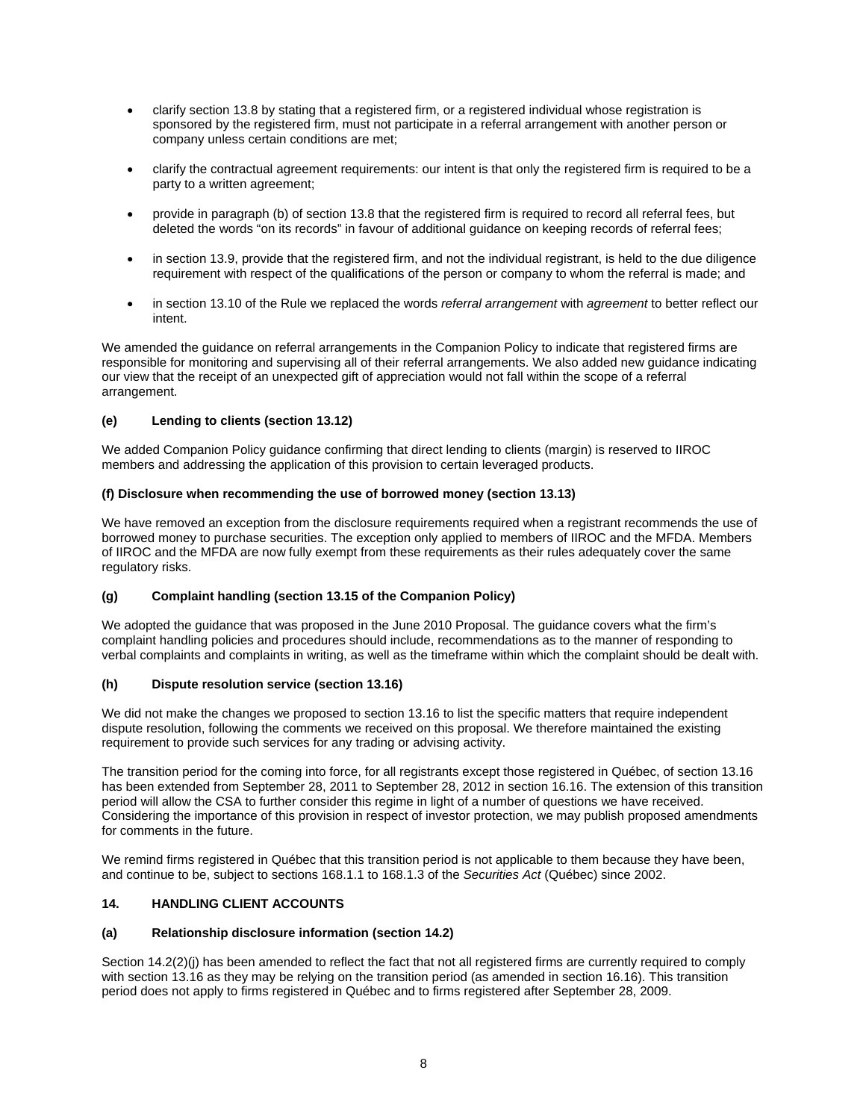- clarify section 13.8 by stating that a registered firm, or a registered individual whose registration is sponsored by the registered firm, must not participate in a referral arrangement with another person or company unless certain conditions are met;
- clarify the contractual agreement requirements: our intent is that only the registered firm is required to be a party to a written agreement;
- provide in paragraph (b) of section 13.8 that the registered firm is required to record all referral fees, but deleted the words "on its records" in favour of additional guidance on keeping records of referral fees;
- in section 13.9, provide that the registered firm, and not the individual registrant, is held to the due diligence requirement with respect of the qualifications of the person or company to whom the referral is made; and
- in section 13.10 of the Rule we replaced the words *referral arrangement* with *agreement* to better reflect our intent.

We amended the guidance on referral arrangements in the Companion Policy to indicate that registered firms are responsible for monitoring and supervising all of their referral arrangements. We also added new guidance indicating our view that the receipt of an unexpected gift of appreciation would not fall within the scope of a referral arrangement.

## **(e) Lending to clients (section 13.12)**

We added Companion Policy guidance confirming that direct lending to clients (margin) is reserved to IIROC members and addressing the application of this provision to certain leveraged products.

#### **(f) Disclosure when recommending the use of borrowed money (section 13.13)**

We have removed an exception from the disclosure requirements required when a registrant recommends the use of borrowed money to purchase securities. The exception only applied to members of IIROC and the MFDA. Members of IIROC and the MFDA are now fully exempt from these requirements as their rules adequately cover the same regulatory risks.

#### **(g) Complaint handling (section 13.15 of the Companion Policy)**

We adopted the guidance that was proposed in the June 2010 Proposal. The guidance covers what the firm's complaint handling policies and procedures should include, recommendations as to the manner of responding to verbal complaints and complaints in writing, as well as the timeframe within which the complaint should be dealt with.

## **(h) Dispute resolution service (section 13.16)**

We did not make the changes we proposed to section 13.16 to list the specific matters that require independent dispute resolution, following the comments we received on this proposal. We therefore maintained the existing requirement to provide such services for any trading or advising activity.

The transition period for the coming into force, for all registrants except those registered in Québec, of section 13.16 has been extended from September 28, 2011 to September 28, 2012 in section 16.16. The extension of this transition period will allow the CSA to further consider this regime in light of a number of questions we have received. Considering the importance of this provision in respect of investor protection, we may publish proposed amendments for comments in the future.

We remind firms registered in Québec that this transition period is not applicable to them because they have been, and continue to be, subject to sections 168.1.1 to 168.1.3 of the *Securities Act* (Québec) since 2002.

#### **14. HANDLING CLIENT ACCOUNTS**

#### **(a) Relationship disclosure information (section 14.2)**

Section 14.2(2)(j) has been amended to reflect the fact that not all registered firms are currently required to comply with section 13.16 as they may be relying on the transition period (as amended in section 16.16). This transition period does not apply to firms registered in Québec and to firms registered after September 28, 2009.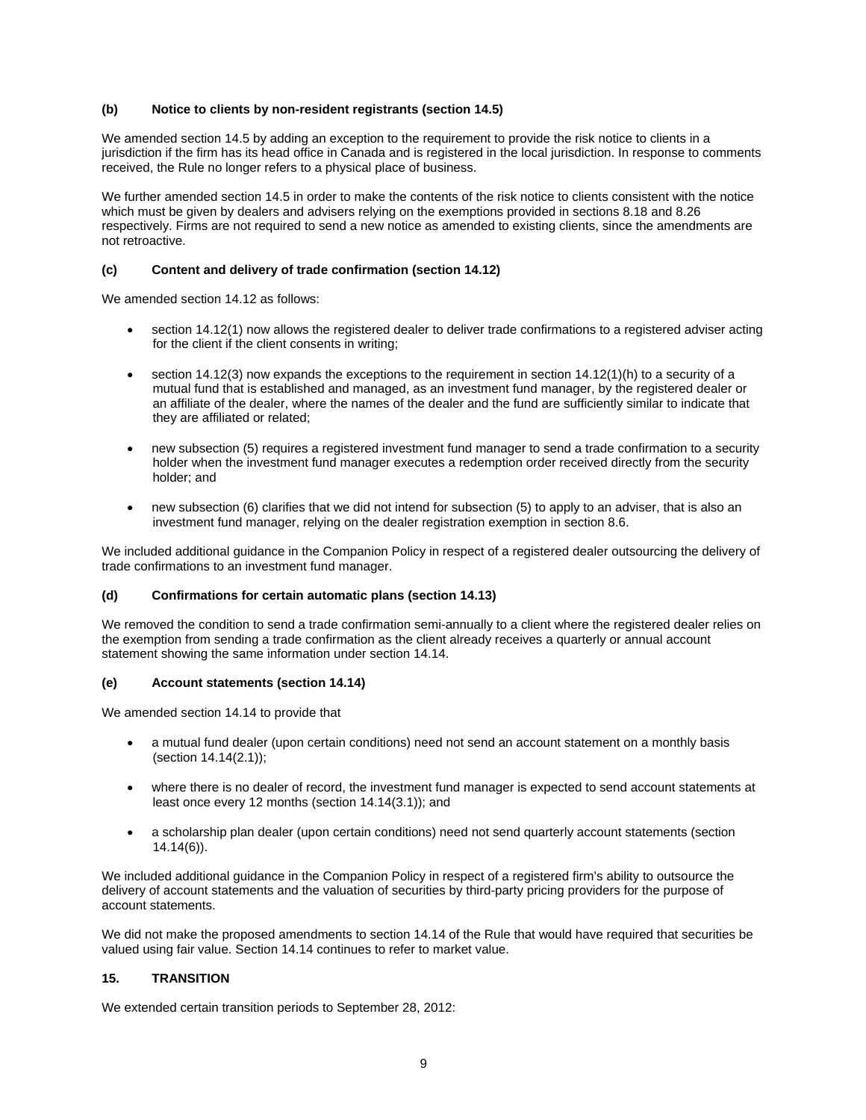### **(b) Notice to clients by non-resident registrants (section 14.5)**

We amended section 14.5 by adding an exception to the requirement to provide the risk notice to clients in a jurisdiction if the firm has its head office in Canada and is registered in the local jurisdiction. In response to comments received, the Rule no longer refers to a physical place of business.

We further amended section 14.5 in order to make the contents of the risk notice to clients consistent with the notice which must be given by dealers and advisers relying on the exemptions provided in sections 8.18 and 8.26 respectively. Firms are not required to send a new notice as amended to existing clients, since the amendments are not retroactive.

### **(c) Content and delivery of trade confirmation (section 14.12)**

We amended section 14.12 as follows:

- section 14.12(1) now allows the registered dealer to deliver trade confirmations to a registered adviser acting for the client if the client consents in writing;
- section 14.12(3) now expands the exceptions to the requirement in section 14.12(1)(h) to a security of a mutual fund that is established and managed, as an investment fund manager, by the registered dealer or an affiliate of the dealer, where the names of the dealer and the fund are sufficiently similar to indicate that they are affiliated or related;
- new subsection (5) requires a registered investment fund manager to send a trade confirmation to a security holder when the investment fund manager executes a redemption order received directly from the security holder; and
- new subsection (6) clarifies that we did not intend for subsection (5) to apply to an adviser, that is also an investment fund manager, relying on the dealer registration exemption in section 8.6.

We included additional guidance in the Companion Policy in respect of a registered dealer outsourcing the delivery of trade confirmations to an investment fund manager.

#### **(d) Confirmations for certain automatic plans (section 14.13)**

We removed the condition to send a trade confirmation semi-annually to a client where the registered dealer relies on the exemption from sending a trade confirmation as the client already receives a quarterly or annual account statement showing the same information under section 14.14.

#### **(e) Account statements (section 14.14)**

We amended section 14.14 to provide that

- a mutual fund dealer (upon certain conditions) need not send an account statement on a monthly basis (section 14.14(2.1));
- where there is no dealer of record, the investment fund manager is expected to send account statements at least once every 12 months (section 14.14(3.1)); and
- a scholarship plan dealer (upon certain conditions) need not send quarterly account statements (section 14.14(6)).

We included additional guidance in the Companion Policy in respect of a registered firm's ability to outsource the delivery of account statements and the valuation of securities by third-party pricing providers for the purpose of account statements.

We did not make the proposed amendments to section 14.14 of the Rule that would have required that securities be valued using fair value. Section 14.14 continues to refer to market value.

#### **15. TRANSITION**

We extended certain transition periods to September 28, 2012: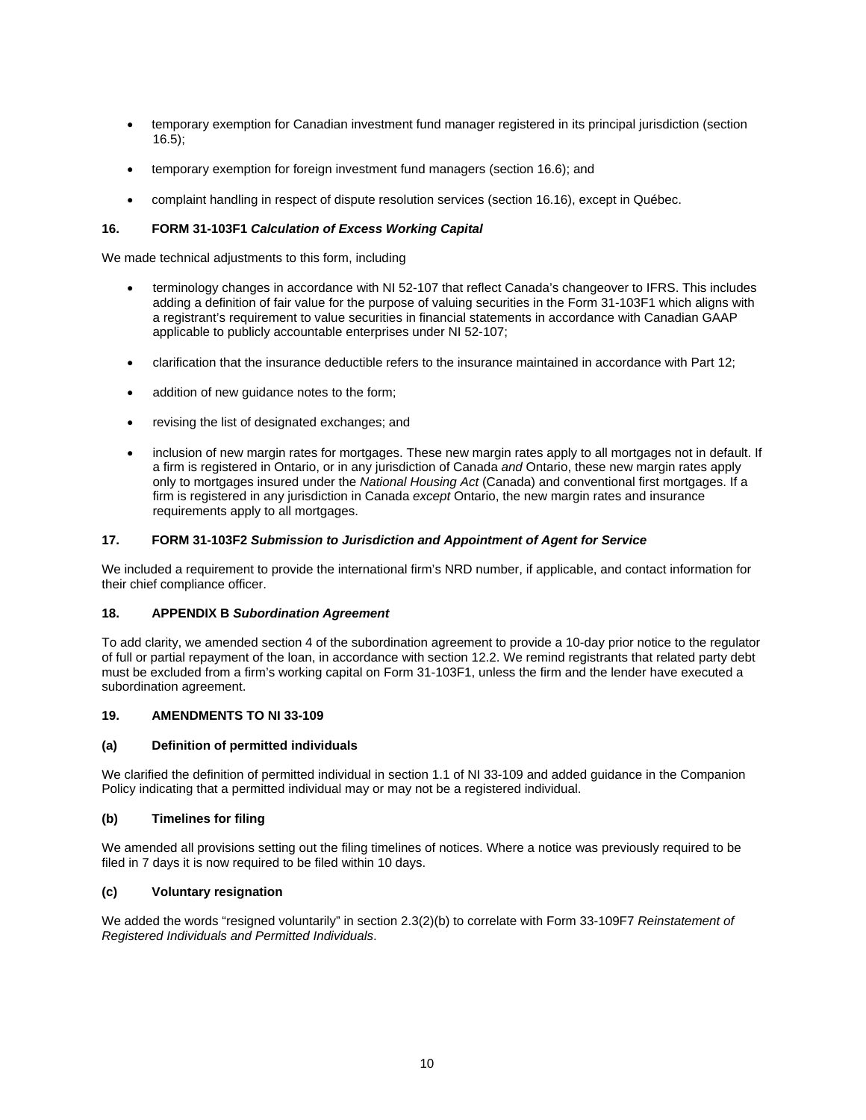- temporary exemption for Canadian investment fund manager registered in its principal jurisdiction (section 16.5);
- temporary exemption for foreign investment fund managers (section 16.6); and
- complaint handling in respect of dispute resolution services (section 16.16), except in Québec.

## **16. FORM 31-103F1** *Calculation of Excess Working Capital*

We made technical adjustments to this form, including

- terminology changes in accordance with NI 52-107 that reflect Canada's changeover to IFRS. This includes adding a definition of fair value for the purpose of valuing securities in the Form 31-103F1 which aligns with a registrant's requirement to value securities in financial statements in accordance with Canadian GAAP applicable to publicly accountable enterprises under NI 52-107;
- clarification that the insurance deductible refers to the insurance maintained in accordance with Part 12;
- addition of new guidance notes to the form;
- revising the list of designated exchanges; and
- inclusion of new margin rates for mortgages. These new margin rates apply to all mortgages not in default. If a firm is registered in Ontario, or in any jurisdiction of Canada *and* Ontario, these new margin rates apply only to mortgages insured under the *National Housing Act* (Canada) and conventional first mortgages. If a firm is registered in any jurisdiction in Canada *except* Ontario, the new margin rates and insurance requirements apply to all mortgages.

## **17. FORM 31-103F2** *Submission to Jurisdiction and Appointment of Agent for Service*

We included a requirement to provide the international firm's NRD number, if applicable, and contact information for their chief compliance officer.

### **18. APPENDIX B** *Subordination Agreement*

To add clarity, we amended section 4 of the subordination agreement to provide a 10-day prior notice to the regulator of full or partial repayment of the loan, in accordance with section 12.2. We remind registrants that related party debt must be excluded from a firm's working capital on Form 31-103F1, unless the firm and the lender have executed a subordination agreement.

#### **19. AMENDMENTS TO NI 33-109**

#### **(a) Definition of permitted individuals**

We clarified the definition of permitted individual in section 1.1 of NI 33-109 and added guidance in the Companion Policy indicating that a permitted individual may or may not be a registered individual.

#### **(b) Timelines for filing**

We amended all provisions setting out the filing timelines of notices. Where a notice was previously required to be filed in 7 days it is now required to be filed within 10 days.

#### **(c) Voluntary resignation**

We added the words "resigned voluntarily" in section 2.3(2)(b) to correlate with Form 33-109F7 *Reinstatement of Registered Individuals and Permitted Individuals*.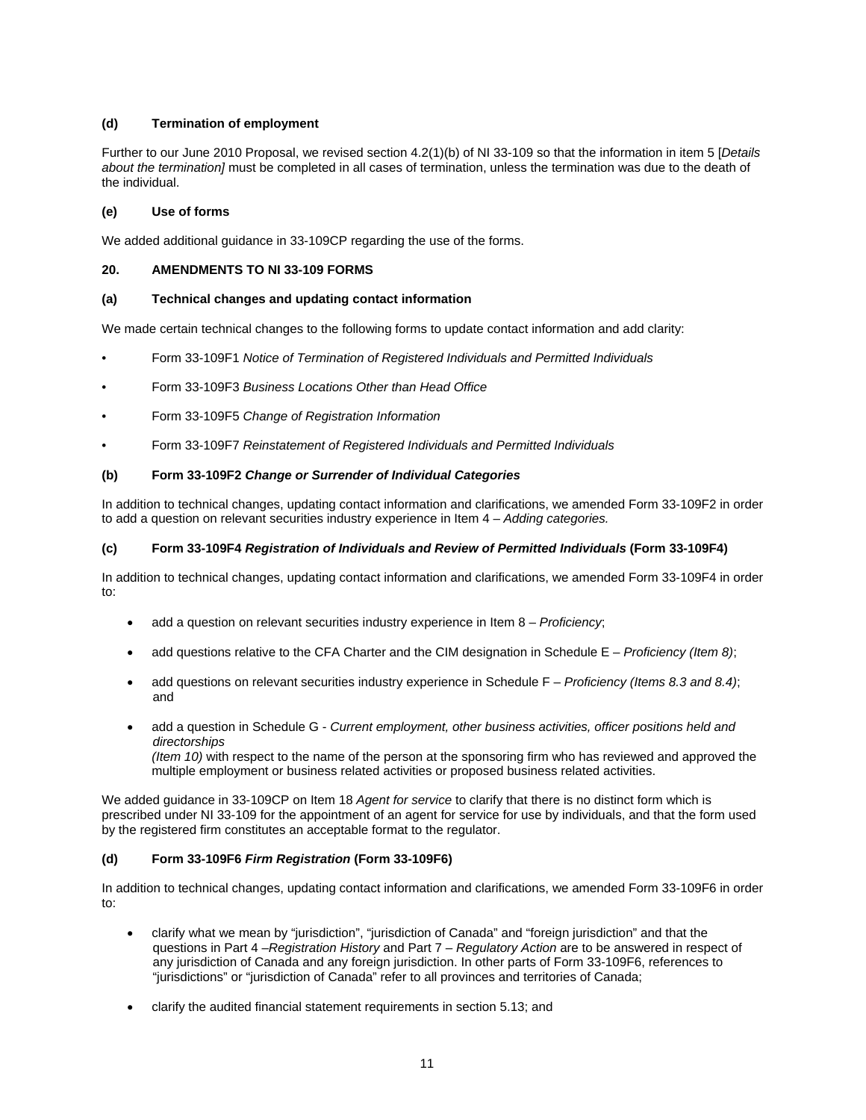# **(d) Termination of employment**

Further to our June 2010 Proposal, we revised section 4.2(1)(b) of NI 33-109 so that the information in item 5 [*Details about the termination]* must be completed in all cases of termination, unless the termination was due to the death of the individual.

## **(e) Use of forms**

We added additional guidance in 33-109CP regarding the use of the forms.

## **20. AMENDMENTS TO NI 33-109 FORMS**

## **(a) Technical changes and updating contact information**

We made certain technical changes to the following forms to update contact information and add clarity:

- Form 33-109F1 *Notice of Termination of Registered Individuals and Permitted Individuals*
- Form 33-109F3 *Business Locations Other than Head Office*
- Form 33-109F5 *Change of Registration Information*
- Form 33-109F7 *Reinstatement of Registered Individuals and Permitted Individuals*

## **(b) Form 33-109F2** *Change or Surrender of Individual Categories*

In addition to technical changes, updating contact information and clarifications, we amended Form 33-109F2 in order to add a question on relevant securities industry experience in Item 4 – *Adding categories.*

#### **(c) Form 33-109F4** *Registration of Individuals and Review of Permitted Individuals* **(Form 33-109F4)**

In addition to technical changes, updating contact information and clarifications, we amended Form 33-109F4 in order to:

- add a question on relevant securities industry experience in Item 8 *Proficiency*;
- add questions relative to the CFA Charter and the CIM designation in Schedule E *Proficiency (Item 8)*;
- add questions on relevant securities industry experience in Schedule F *Proficiency (Items 8.3 and 8.4)*; and
- add a question in Schedule G *Current employment, other business activities, officer positions held and directorships (Item 10)* with respect to the name of the person at the sponsoring firm who has reviewed and approved the multiple employment or business related activities or proposed business related activities.

We added guidance in 33-109CP on Item 18 *Agent for service* to clarify that there is no distinct form which is prescribed under NI 33-109 for the appointment of an agent for service for use by individuals, and that the form used by the registered firm constitutes an acceptable format to the regulator.

# **(d) Form 33-109F6** *Firm Registration* **(Form 33-109F6)**

In addition to technical changes, updating contact information and clarifications, we amended Form 33-109F6 in order to:

- clarify what we mean by "jurisdiction", "jurisdiction of Canada" and "foreign jurisdiction" and that the questions in Part 4 –*Registration History* and Part 7 *– Regulatory Action* are to be answered in respect of any jurisdiction of Canada and any foreign jurisdiction. In other parts of Form 33-109F6, references to "jurisdictions" or "jurisdiction of Canada" refer to all provinces and territories of Canada;
- clarify the audited financial statement requirements in section 5.13; and